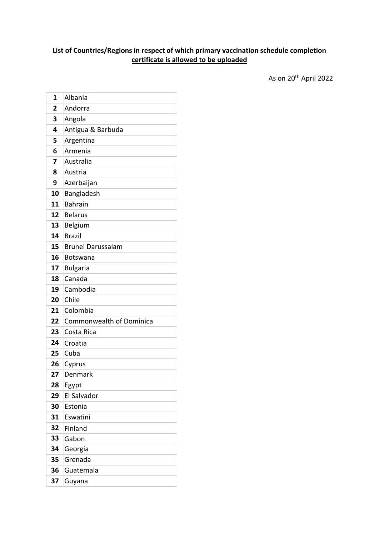## **List of Countries/Regions in respect of which primary vaccination schedule completion certificate is allowed to be uploaded**

As on 20th April 2022

| 1  | Albania                         |
|----|---------------------------------|
| 2  | Andorra                         |
| 3  | Angola                          |
| 4  | Antigua & Barbuda               |
| 5  | Argentina                       |
| 6  | Armenia                         |
| 7  | Australia                       |
| 8  | Austria                         |
| 9  | Azerbaijan                      |
| 10 | Bangladesh                      |
| 11 | <b>Bahrain</b>                  |
| 12 | <b>Belarus</b>                  |
| 13 | Belgium                         |
| 14 | <b>Brazil</b>                   |
| 15 | <b>Brunei Darussalam</b>        |
| 16 | <b>Botswana</b>                 |
| 17 | <b>Bulgaria</b>                 |
| 18 | Canada                          |
| 19 | Cambodia                        |
| 20 | Chile                           |
| 21 | Colombia                        |
| 22 | <b>Commonwealth of Dominica</b> |
| 23 | Costa Rica                      |
| 24 | Croatia                         |
| 25 | Cuba                            |
| 26 | Cyprus                          |
| 27 | Denmark                         |
| 28 | Egypt                           |
| 29 | El Salvador                     |
| 30 | Estonia                         |
| 31 | Eswatini                        |
| 32 | Finland                         |
| 33 | Gabon                           |
| 34 | Georgia                         |
| 35 | Grenada                         |
| 36 | Guatemala                       |
| 37 | Guyana                          |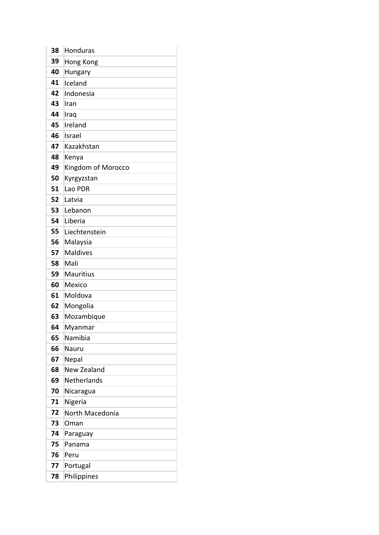| 38 | Honduras           |
|----|--------------------|
| 39 | Hong Kong          |
| 40 | Hungary            |
| 41 | Iceland            |
| 42 | Indonesia          |
| 43 | Iran               |
| 44 | Iraq               |
| 45 | Ireland            |
| 46 | Israel             |
| 47 | Kazakhstan         |
| 48 | Kenya              |
| 49 | Kingdom of Morocco |
| 50 | Kyrgyzstan         |
| 51 | Lao PDR            |
| 52 | Latvia             |
| 53 | Lebanon            |
| 54 | Liberia            |
| 55 | Liechtenstein      |
| 56 | Malaysia           |
| 57 | <b>Maldives</b>    |
| 58 | Mali               |
| 59 | <b>Mauritius</b>   |
| 60 | Mexico             |
| 61 | Moldova            |
| 62 | Mongolia           |
| 63 | Mozambique         |
| 64 | Myanmar            |
| 65 | Namibia            |
| 66 | Nauru              |
| 67 | Nepal              |
| 68 | New Zealand        |
| 69 | Netherlands        |
| 70 | Nicaragua          |
| 71 | Nigeria            |
| 72 | North Macedonia    |
| 73 | Oman               |
| 74 | Paraguay           |
| 75 | Panama             |
| 76 | Peru               |
| 77 | Portugal           |
| 78 | Philippines        |